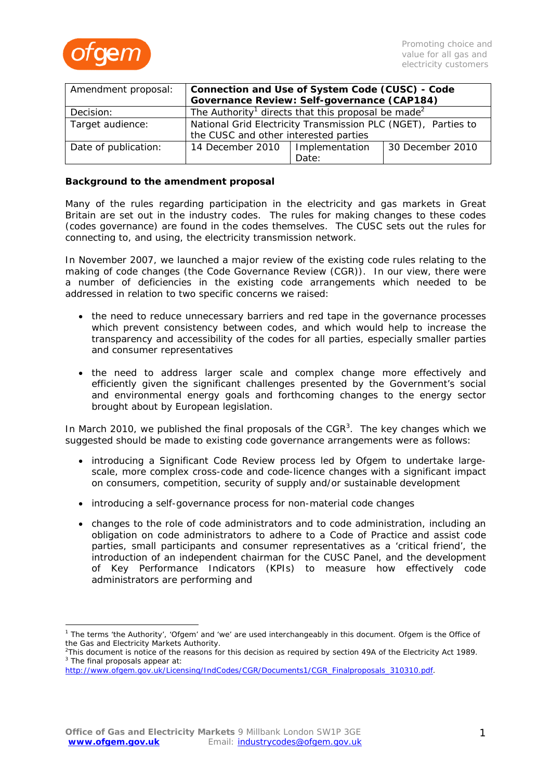

| Amendment proposal:  | Connection and Use of System Code (CUSC) - Code                            |                |                  |
|----------------------|----------------------------------------------------------------------------|----------------|------------------|
|                      | Governance Review: Self-governance (CAP184)                                |                |                  |
| Decision:            | The Authority <sup>1</sup> directs that this proposal be made <sup>2</sup> |                |                  |
| Target audience:     | National Grid Electricity Transmission PLC (NGET), Parties to              |                |                  |
|                      | the CUSC and other interested parties                                      |                |                  |
| Date of publication: | 14 December 2010                                                           | Implementation | 30 December 2010 |
|                      |                                                                            | Date:          |                  |

# **Background to the amendment proposal**

Many of the rules regarding participation in the electricity and gas markets in Great Britain are set out in the industry codes. The rules for making changes to these codes (codes governance) are found in the codes themselves. The CUSC sets out the rules for connecting to, and using, the electricity transmission network.

In November 2007, we launched a major review of the existing code rules relating to the making of code changes (the Code Governance Review (CGR)). In our view, there were a number of deficiencies in the existing code arrangements which needed to be addressed in relation to two specific concerns we raised:

- the need to reduce unnecessary barriers and red tape in the governance processes which prevent consistency between codes, and which would help to increase the transparency and accessibility of the codes for all parties, especially smaller parties and consumer representatives
- the need to address larger scale and complex change more effectively and efficiently given the significant challenges presented by the Government's social and environmental energy goals and forthcoming changes to the energy sector brought about by European legislation.

In March 2010, we published the final proposals of the  $CGR<sup>3</sup>$ . The key changes which we suggested should be made to existing code governance arrangements were as follows:

- introducing a Significant Code Review process led by Ofgem to undertake largescale, more complex cross-code and code-licence changes with a significant impact on consumers, competition, security of supply and/or sustainable development
- introducing a self-governance process for non-material code changes
- changes to the role of code administrators and to code administration, including an obligation on code administrators to adhere to a Code of Practice and assist code parties, small participants and consumer representatives as a 'critical friend', the introduction of an independent chairman for the CUSC Panel, and the development of Key Performance Indicators (KPIs) to measure how effectively code administrators are performing and

<sup>&</sup>lt;sup>1</sup> The terms 'the Authority', 'Ofgem' and 'we' are used interchangeably in this document. Ofgem is the Office of the Gas and Electricity Markets Authority.

<sup>&</sup>lt;sup>2</sup>This document is notice of the reasons for this decision as required by section 49A of the Electricity Act 1989.<br><sup>3</sup> The final prenesals appear at:  $3$  The final proposals appear at:

http://www.ofgem.gov.uk/Licensing/IndCodes/CGR/Documents1/CGR\_Finalproposals\_310310.pdf.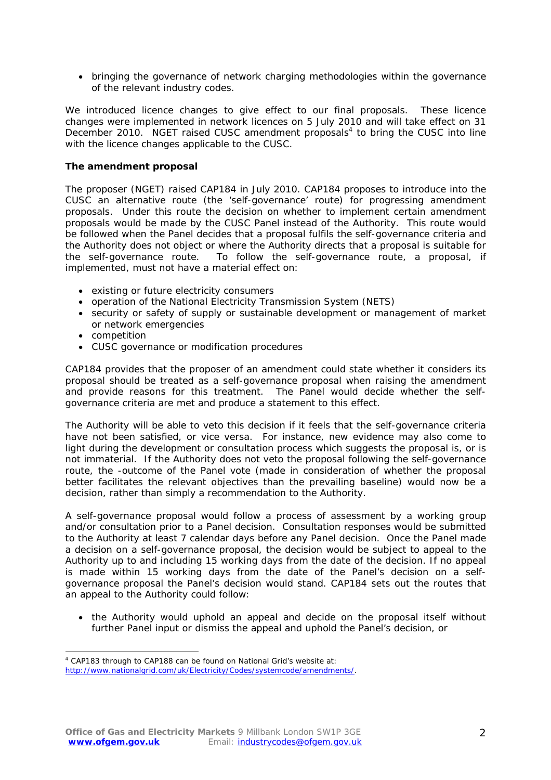• bringing the governance of network charging methodologies within the governance of the relevant industry codes.

We introduced licence changes to give effect to our final proposals. These licence changes were implemented in network licences on 5 July 2010 and will take effect on 31 December 2010. NGET raised CUSC amendment proposals $4$  to bring the CUSC into line with the licence changes applicable to the CUSC.

# **The amendment proposal**

The proposer (NGET) raised CAP184 in July 2010. CAP184 proposes to introduce into the CUSC an alternative route (the 'self-governance' route) for progressing amendment proposals. Under this route the decision on whether to implement certain amendment proposals would be made by the CUSC Panel instead of the Authority. This route would be followed when the Panel decides that a proposal fulfils the self-governance criteria and the Authority does not object or where the Authority directs that a proposal is suitable for the self-governance route. To follow the self-governance route, a proposal, if implemented, must not have a material effect on:

- existing or future electricity consumers
- operation of the National Electricity Transmission System (NETS)
- security or safety of supply or sustainable development or management of market or network emergencies
- competition

• CUSC governance or modification procedures

CAP184 provides that the proposer of an amendment could state whether it considers its proposal should be treated as a self-governance proposal when raising the amendment and provide reasons for this treatment. The Panel would decide whether the selfgovernance criteria are met and produce a statement to this effect.

The Authority will be able to veto this decision if it feels that the self-governance criteria have not been satisfied, or vice versa. For instance, new evidence may also come to light during the development or consultation process which suggests the proposal is, or is not immaterial. If the Authority does not veto the proposal following the self-governance route, the -outcome of the Panel vote (made in consideration of whether the proposal better facilitates the relevant objectives than the prevailing baseline) would now be a decision, rather than simply a recommendation to the Authority.

A self-governance proposal would follow a process of assessment by a working group and/or consultation prior to a Panel decision. Consultation responses would be submitted to the Authority at least 7 calendar days before any Panel decision. Once the Panel made a decision on a self-governance proposal, the decision would be subject to appeal to the Authority up to and including 15 working days from the date of the decision. If no appeal is made within 15 working days from the date of the Panel's decision on a selfgovernance proposal the Panel's decision would stand. CAP184 sets out the routes that an appeal to the Authority could follow:

• the Authority would uphold an appeal and decide on the proposal itself without further Panel input or dismiss the appeal and uphold the Panel's decision, or

<sup>4</sup> CAP183 through to CAP188 can be found on National Grid's website at: http://www.nationalgrid.com/uk/Electricity/Codes/systemcode/amendments/.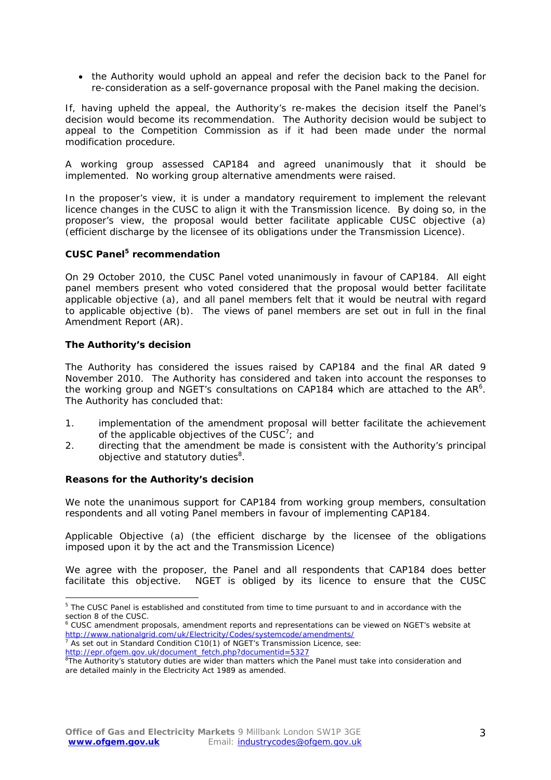• the Authority would uphold an appeal and refer the decision back to the Panel for re-consideration as a self-governance proposal with the Panel making the decision.

If, having upheld the appeal, the Authority's re-makes the decision itself the Panel's decision would become its recommendation. The Authority decision would be subject to appeal to the Competition Commission as if it had been made under the normal modification procedure.

A working group assessed CAP184 and agreed unanimously that it should be implemented. No working group alternative amendments were raised.

In the proposer's view, it is under a mandatory requirement to implement the relevant licence changes in the CUSC to align it with the Transmission licence. By doing so, in the proposer's view, the proposal would better facilitate applicable CUSC objective (a) (efficient discharge by the licensee of its obligations under the Transmission Licence).

# **CUSC Panel5 recommendation**

On 29 October 2010, the CUSC Panel voted unanimously in favour of CAP184. All eight panel members present who voted considered that the proposal would better facilitate applicable objective (a), and all panel members felt that it would be neutral with regard to applicable objective (b). The views of panel members are set out in full in the final Amendment Report (AR).

# **The Authority's decision**

 $\overline{a}$ 

The Authority has considered the issues raised by CAP184 and the final AR dated 9 November 2010. The Authority has considered and taken into account the responses to the working group and NGET's consultations on CAP184 which are attached to the AR $6$ . The Authority has concluded that:

- 1. implementation of the amendment proposal will better facilitate the achievement of the applicable objectives of the CUSC<sup>7</sup>; and
- 2. directing that the amendment be made is consistent with the Authority's principal objective and statutory duties<sup>8</sup>.

### **Reasons for the Authority's decision**

We note the unanimous support for CAP184 from working group members, consultation respondents and all voting Panel members in favour of implementing CAP184.

*Applicable Objective (a) (the efficient discharge by the licensee of the obligations imposed upon it by the act and the Transmission Licence)* 

We agree with the proposer, the Panel and all respondents that CAP184 does better facilitate this objective. NGET is obliged by its licence to ensure that the CUSC

<sup>&</sup>lt;sup>5</sup> The CUSC Panel is established and constituted from time to time pursuant to and in accordance with the section 8 of the CUSC.

<sup>6</sup> CUSC amendment proposals, amendment reports and representations can be viewed on NGET's website at http://www.nationalgrid.com/uk/Electricity/Codes/systemcode/amendments/ 7

 $\frac{1}{7}$  As set out in Standard Condition C10(1) of NGET's Transmission Licence, see:

http://epr.ofgem.gov.uk/document\_fetch.php?documentid=5327

<sup>&</sup>lt;sup>8</sup>The Authority's statutory duties are wider than matters which the Panel must take into consideration and are detailed mainly in the Electricity Act 1989 as amended.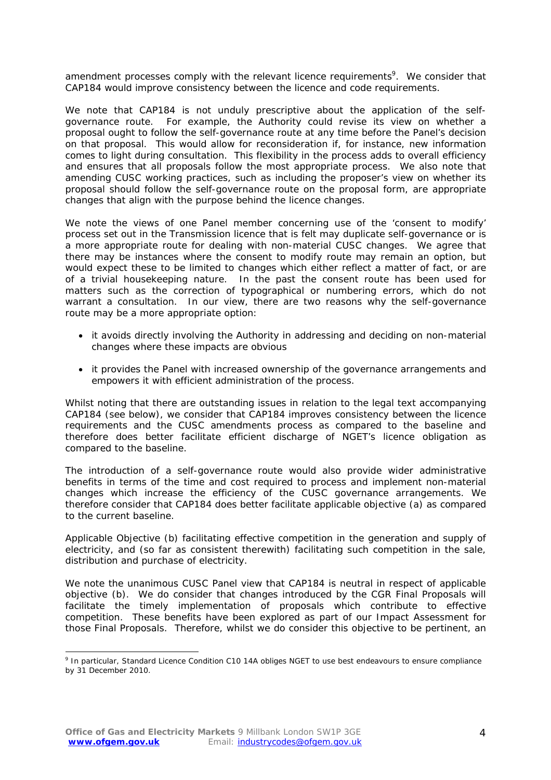amendment processes comply with the relevant licence requirements<sup>9</sup>. We consider that CAP184 would improve consistency between the licence and code requirements.

We note that CAP184 is not unduly prescriptive about the application of the selfgovernance route. For example, the Authority could revise its view on whether a proposal ought to follow the self-governance route at any time before the Panel's decision on that proposal. This would allow for reconsideration if, for instance, new information comes to light during consultation. This flexibility in the process adds to overall efficiency and ensures that all proposals follow the most appropriate process. We also note that amending CUSC working practices, such as including the proposer's view on whether its proposal should follow the self-governance route on the proposal form, are appropriate changes that align with the purpose behind the licence changes.

We note the views of one Panel member concerning use of the 'consent to modify' process set out in the Transmission licence that is felt may duplicate self-governance or is a more appropriate route for dealing with non-material CUSC changes. We agree that there may be instances where the consent to modify route may remain an option, but would expect these to be limited to changes which either reflect a matter of fact, or are of a trivial housekeeping nature. In the past the consent route has been used for matters such as the correction of typographical or numbering errors, which do not warrant a consultation. In our view, there are two reasons why the self-governance route may be a more appropriate option:

- it avoids directly involving the Authority in addressing and deciding on non-material changes where these impacts are obvious
- it provides the Panel with increased ownership of the governance arrangements and empowers it with efficient administration of the process.

Whilst noting that there are outstanding issues in relation to the legal text accompanying CAP184 (see below), we consider that CAP184 improves consistency between the licence requirements and the CUSC amendments process as compared to the baseline and therefore does better facilitate efficient discharge of NGET's licence obligation as compared to the baseline.

The introduction of a self-governance route would also provide wider administrative benefits in terms of the time and cost required to process and implement non-material changes which increase the efficiency of the CUSC governance arrangements. We therefore consider that CAP184 does better facilitate applicable objective (a) as compared to the current baseline.

*Applicable Objective (b) facilitating effective competition in the generation and supply of electricity, and (so far as consistent therewith) facilitating such competition in the sale, distribution and purchase of electricity.* 

We note the unanimous CUSC Panel view that CAP184 is neutral in respect of applicable objective (b). We do consider that changes introduced by the CGR Final Proposals will facilitate the timely implementation of proposals which contribute to effective competition. These benefits have been explored as part of our Impact Assessment for those Final Proposals. Therefore, whilst we do consider this objective to be pertinent, an

<sup>&</sup>lt;sup>9</sup> In particular, Standard Licence Condition C10 14A obliges NGET to use best endeavours to ensure compliance by 31 December 2010.